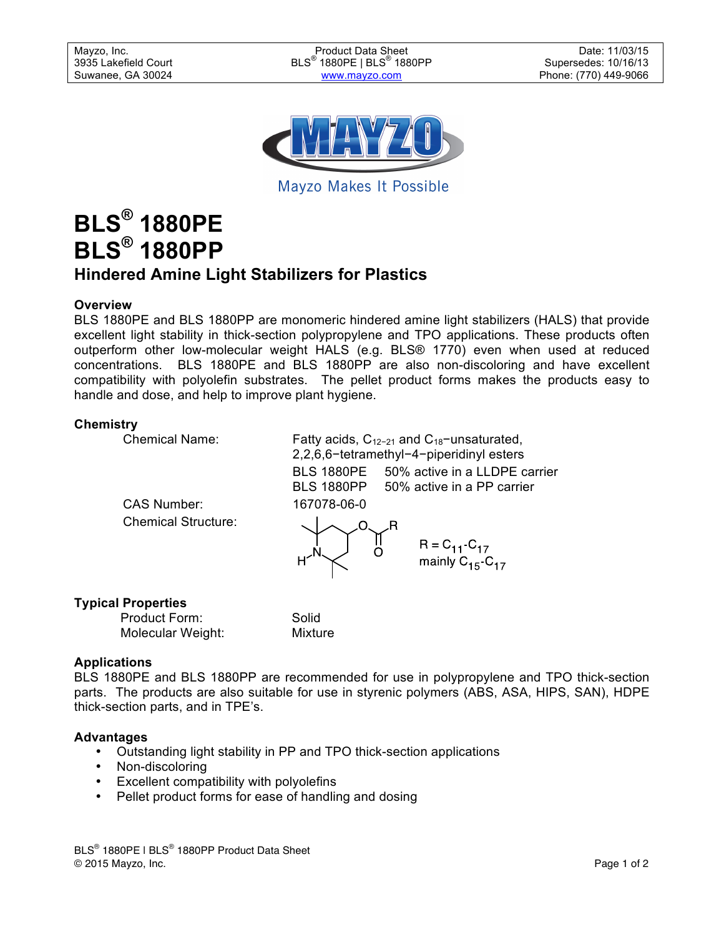Mayzo, Inc. **Product Data Sheet Community Date: 11/03/15** Community Date: 11/03/15 3935 Lakefield Court BLS<sup>®</sup> 1880PE | BLS<sup>®</sup> 1880PP Suwanee, GA 30024 **www.mayzo.com** extending the Phone: (770) 449-9066

Supersedes: 10/16/13



Mayzo Makes It Possible

# **BLS® 1880PE BLS® 1880PP Hindered Amine Light Stabilizers for Plastics**

# **Overview**

BLS 1880PE and BLS 1880PP are monomeric hindered amine light stabilizers (HALS) that provide excellent light stability in thick-section polypropylene and TPO applications. These products often outperform other low-molecular weight HALS (e.g. BLS® 1770) even when used at reduced concentrations. BLS 1880PE and BLS 1880PP are also non-discoloring and have excellent compatibility with polyolefin substrates. The pellet product forms makes the products easy to handle and dose, and help to improve plant hygiene.

## **Chemistry**

Chemical Name:

Chemical Structure:

Fatty acids,  $C_{12-21}$  and  $C_{18}$ −unsaturated, 2,2,6,6−tetramethyl−4−piperidinyl esters BLS 1880PE 50% active in a LLDPE carrier BLS 1880PP 50% active in a PP carrier CAS Number: 167078-06-0  $\frac{1}{\alpha}$ R = C<sub>11</sub>-C<sub>17</sub><br>mainly C<sub>15</sub>-C<sub>17</sub>

# **Typical Properties**

| Product Form:     | Solid   |
|-------------------|---------|
| Molecular Weight: | Mixture |

# **Applications**

BLS 1880PE and BLS 1880PP are recommended for use in polypropylene and TPO thick-section parts. The products are also suitable for use in styrenic polymers (ABS, ASA, HIPS, SAN), HDPE thick-section parts, and in TPE's.

#### **Advantages**

- Outstanding light stability in PP and TPO thick-section applications
- Non-discoloring
- Excellent compatibility with polyolefins
- Pellet product forms for ease of handling and dosing

BLS<sup>®</sup> 1880PE I BLS<sup>®</sup> 1880PP Product Data Sheet © 2015 Mayzo, Inc. Page 1 of 2